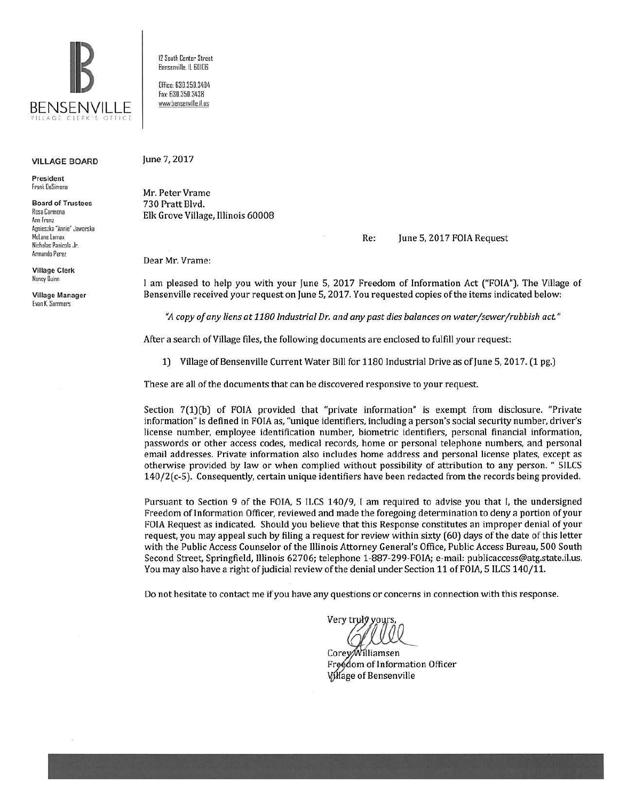

## VILLAGE BOARD

President frank OeSimone

Board of Trustees Rosa Carmona Ann Franz Agnieszka "Annie" Jaworska Mclane Lomax Nicholas Panicola Jr. Armando Perez

Village Clerk Nancy Ouinn

Village Manager Evan K. Summers

12 South Center Street Bensenville. IL 60!06

Office: 630.350.3404 Fax: 630.350.3438 www.bensenville.il.us

## June 7, 2017

Mr. Peter Vrame 730 Pratt Blvd. Elk Grove Village, Illinois 60008

Re: June 5, 2017 FOIA Request

Dear Mr. Vrame:

I am pleased to help you with your June 5, 2017 Freedom of Information Act ("FOIA"). The Village of Bensenville received your request on June 5, 2017. You requested copies of the items indicated below:

·~ *copy of any liens at 1180 Industrial Dr. and any past dies balances on water /sewer /rubbish act"* 

After a search of Village files, the following documents are enclosed to fulfill your request:

1) Village of Bensenville Current Water Bill for 1180 Industrial Drive as of June 5, 2017. (1 pg.)

These are all of the documents that can be discovered responsive to your request

Section 7(1)(b) of FOIA provided that "private information" is exempt from disclosure. "Private information" is defined in FOJA as, "unique identifiers, including a person's social security number, driver's license number, employee identification number, biometric identifiers, personal financial information, passwords or other access codes, medical records, home or personal telephone numbers, and personal email addresses. Private information also includes home address and personal license plates, except as otherwise provided by law or when complied without possibility of attribution to any person. " 51LCS 140/2(c-5). Consequently, certain unique identifiers have been redacted from the records being provided.

Pursuant to Section 9 of the FOJA, 5 ILCS 140/9, I am required to advise you that I, the undersigned Freedom of Information Officer, reviewed and made the foregoing determination to deny a portion of your FOJA Request as indicated. Should you believe that this Response constitutes an improper denial of your request, you may appeal such by filing a request for review within sixty (60) days of the date of this letter with the Public Access Counselor of the Illinois Attorney General's Office, Public Access Bureau, 500 South Second Street, Springfield, Illinois 62706; telephone 1-887-299-FOJA; e-mail: publicaccess@atg.state.il.us. You may also have a right of judicial review of the denial under Section 11 of FOIA, 5 ILCS 140/11.

Do not hesitate to contact me if you have any questions or concerns in connection with this response.

Very truk

Corey/Williamsen Freedom of Information Officer *V:* age of Bensenville